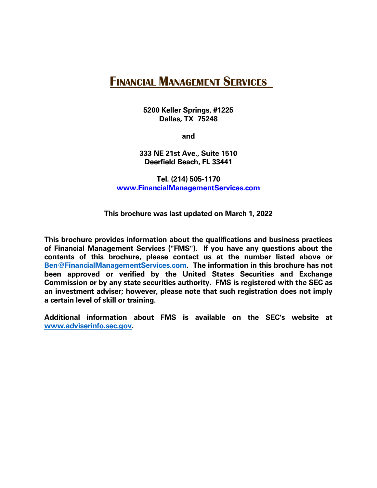# **FINANCIAL MANAGEMENT SERVICES**

**5200 Keller Springs, #1225 Dallas, TX 75248**

**and**

**333 NE 21st Ave., Suite 1510 Deerfield Beach, FL 33441**

**Tel. (214) 505-1170 www.FinancialManagementServices.com**

#### **This brochure was last updated on March 1, 2022**

**This brochure provides information about the qualifications and business practices of Financial Management Services ("FMS"). If you have any questions about the contents of this brochure, please contact us at the number listed above or [Ben@FinancialManagementServices.com.](mailto:Ben@FinancialManagementServices.com) The information in this brochure has not been approved or verified by the United States Securities and Exchange Commission or by any state securities authority. FMS is registered with the SEC as an investment adviser; however, please note that such registration does not imply a certain level of skill or training.**

**Additional information about FMS is available on the SEC's website at [www.adviserinfo.sec.gov.](http://www.adviserinfo.sec.gov/)**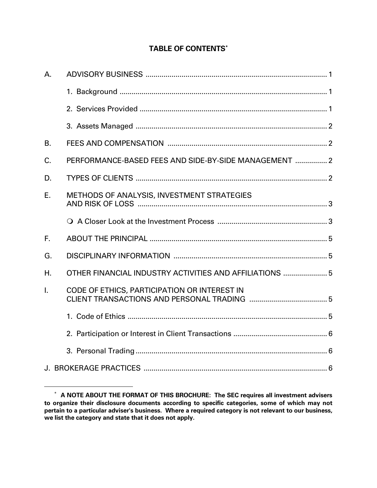# **TABLE OF CONTENTS\***

| А. |                                                         |
|----|---------------------------------------------------------|
|    |                                                         |
|    |                                                         |
|    |                                                         |
| B. |                                                         |
| C. | PERFORMANCE-BASED FEES AND SIDE-BY-SIDE MANAGEMENT  2   |
| D. |                                                         |
| Ε. | METHODS OF ANALYSIS, INVESTMENT STRATEGIES              |
|    |                                                         |
| F. |                                                         |
| G. |                                                         |
| Η. | OTHER FINANCIAL INDUSTRY ACTIVITIES AND AFFILIATIONS  5 |
| I. | CODE OF ETHICS, PARTICIPATION OR INTEREST IN            |
|    |                                                         |
|    |                                                         |
|    |                                                         |
|    |                                                         |

<sup>\*</sup> **A NOTE ABOUT THE FORMAT OF THIS BROCHURE: The SEC requires all investment advisers to organize their disclosure documents according to specific categories, some of which may not pertain to a particular adviser's business. Where a required category is not relevant to our business, we list the category and state that it does not apply.**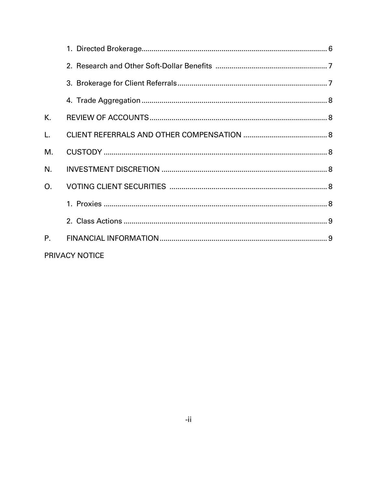| К.          |                |  |
|-------------|----------------|--|
| L.          |                |  |
| М.          |                |  |
| N.          |                |  |
| O.          |                |  |
|             |                |  |
|             |                |  |
| $P_{\rm L}$ |                |  |
|             | PRIVACY NOTICE |  |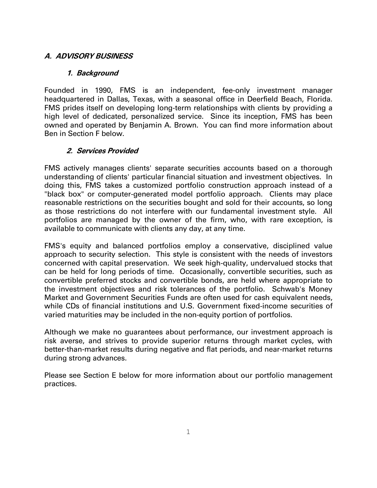## **A. ADVISORY BUSINESS**

#### **1. Background**

Founded in 1990, FMS is an independent, fee-only investment manager headquartered in Dallas, Texas, with a seasonal office in Deerfield Beach, Florida. FMS prides itself on developing long-term relationships with clients by providing a high level of dedicated, personalized service. Since its inception, FMS has been owned and operated by Benjamin A. Brown. You can find more information about Ben in Section F below.

#### **2. Services Provided**

FMS actively manages clients' separate securities accounts based on a thorough understanding of clients' particular financial situation and investment objectives. In doing this, FMS takes a customized portfolio construction approach instead of a "black box" or computer-generated model portfolio approach. Clients may place reasonable restrictions on the securities bought and sold for their accounts, so long as those restrictions do not interfere with our fundamental investment style. All portfolios are managed by the owner of the firm, who, with rare exception, is available to communicate with clients any day, at any time.

FMS's equity and balanced portfolios employ a conservative, disciplined value approach to security selection. This style is consistent with the needs of investors concerned with capital preservation. We seek high-quality, undervalued stocks that can be held for long periods of time. Occasionally, convertible securities, such as convertible preferred stocks and convertible bonds, are held where appropriate to the investment objectives and risk tolerances of the portfolio. Schwab's Money Market and Government Securities Funds are often used for cash equivalent needs, while CDs of financial institutions and U.S. Government fixed-income securities of varied maturities may be included in the non-equity portion of portfolios.

Although we make no guarantees about performance, our investment approach is risk averse, and strives to provide superior returns through market cycles, with better-than-market results during negative and flat periods, and near-market returns during strong advances.

Please see Section E below for more information about our portfolio management practices.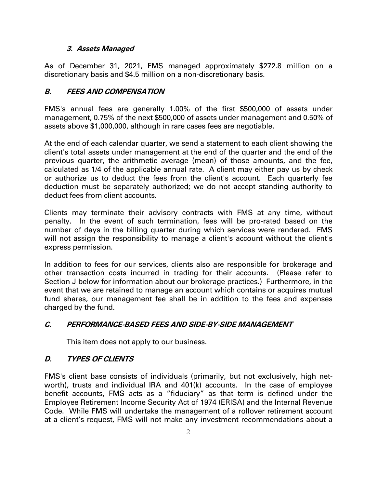#### **3. Assets Managed**

As of December 31, 2021, FMS managed approximately \$272.8 million on a discretionary basis and \$4.5 million on a non-discretionary basis.

#### **B. FEES AND COMPENSATION**

FMS's annual fees are generally 1.00% of the first \$500,000 of assets under management, 0.75% of the next \$500,000 of assets under management and 0.50% of assets above \$1,000,000, although in rare cases fees are negotiable**.**

At the end of each calendar quarter, we send a statement to each client showing the client's total assets under management at the end of the quarter and the end of the previous quarter, the arithmetic average (mean) of those amounts, and the fee, calculated as 1/4 of the applicable annual rate. A client may either pay us by check or authorize us to deduct the fees from the client's account. Each quarterly fee deduction must be separately authorized; we do not accept standing authority to deduct fees from client accounts.

Clients may terminate their advisory contracts with FMS at any time, without penalty. In the event of such termination, fees will be pro-rated based on the number of days in the billing quarter during which services were rendered. FMS will not assign the responsibility to manage a client's account without the client's express permission.

In addition to fees for our services, clients also are responsible for brokerage and other transaction costs incurred in trading for their accounts. (Please refer to Section J below for information about our brokerage practices.) Furthermore, in the event that we are retained to manage an account which contains or acquires mutual fund shares, our management fee shall be in addition to the fees and expenses charged by the fund.

## **C. PERFORMANCE-BASED FEES AND SIDE-BY-SIDE MANAGEMENT**

This item does not apply to our business.

## **D. TYPES OF CLIENTS**

FMS's client base consists of individuals (primarily, but not exclusively, high networth), trusts and individual IRA and 401(k) accounts. In the case of employee benefit accounts, FMS acts as a "fiduciary" as that term is defined under the Employee Retirement Income Security Act of 1974 (ERISA) and the Internal Revenue Code. While FMS will undertake the management of a rollover retirement account at a client's request, FMS will not make any investment recommendations about a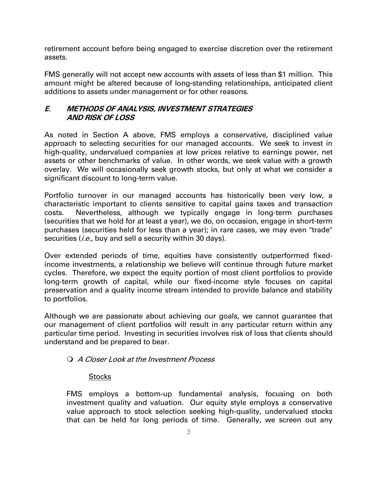retirement account before being engaged to exercise discretion over the retirement assets.

FMS generally will not accept new accounts with assets of less than \$1 million. This amount might be altered because of long-standing relationships, anticipated client additions to assets under management or for other reasons.

## **E. METHODS OF ANALYSIS, INVESTMENT STRATEGIES AND RISK OF LOSS**

As noted in Section A above, FMS employs a conservative, disciplined value approach to selecting securities for our managed accounts. We seek to invest in high-quality, undervalued companies at low prices relative to earnings power, net assets or other benchmarks of value. In other words, we seek value with a growth overlay. We will occasionally seek growth stocks, but only at what we consider a significant discount to long-term value.

Portfolio turnover in our managed accounts has historically been very low, a characteristic important to clients sensitive to capital gains taxes and transaction costs. Nevertheless, although we typically engage in long-term purchases (securities that we hold for at least a year), we do, on occasion, engage in short-term purchases (securities held for less than a year); in rare cases, we may even "trade" securities (*i.e.*, buy and sell a security within 30 days).

Over extended periods of time, equities have consistently outperformed fixedincome investments, a relationship we believe will continue through future market cycles. Therefore, we expect the equity portion of most client portfolios to provide long-term growth of capital, while our fixed-income style focuses on capital preservation and a quality income stream intended to provide balance and stability to portfolios.

Although we are passionate about achieving our goals, we cannot guarantee that our management of client portfolios will result in any particular return within any particular time period. Investing in securities involves risk of loss that clients should understand and be prepared to bear.

## A Closer Look at the Investment Process

#### **Stocks**

FMS employs a bottom-up fundamental analysis, focusing on both investment quality and valuation. Our equity style employs a conservative value approach to stock selection seeking high-quality, undervalued stocks that can be held for long periods of time. Generally, we screen out any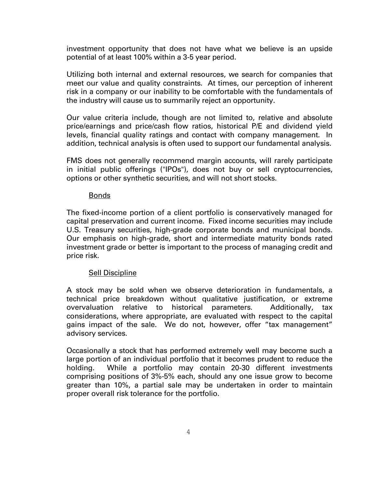investment opportunity that does not have what we believe is an upside potential of at least 100% within a 3-5 year period.

Utilizing both internal and external resources, we search for companies that meet our value and quality constraints. At times, our perception of inherent risk in a company or our inability to be comfortable with the fundamentals of the industry will cause us to summarily reject an opportunity.

Our value criteria include, though are not limited to, relative and absolute price/earnings and price/cash flow ratios, historical P/E and dividend yield levels, financial quality ratings and contact with company management. In addition, technical analysis is often used to support our fundamental analysis.

FMS does not generally recommend margin accounts, will rarely participate in initial public offerings ("IPOs"), does not buy or sell cryptocurrencies, options or other synthetic securities, and will not short stocks.

#### Bonds

The fixed-income portion of a client portfolio is conservatively managed for capital preservation and current income. Fixed income securities may include U.S. Treasury securities, high-grade corporate bonds and municipal bonds. Our emphasis on high-grade, short and intermediate maturity bonds rated investment grade or better is important to the process of managing credit and price risk.

#### Sell Discipline

A stock may be sold when we observe deterioration in fundamentals, a technical price breakdown without qualitative justification, or extreme overvaluation relative to historical parameters. Additionally, tax considerations, where appropriate, are evaluated with respect to the capital gains impact of the sale. We do not, however, offer "tax management" advisory services.

Occasionally a stock that has performed extremely well may become such a large portion of an individual portfolio that it becomes prudent to reduce the holding. While a portfolio may contain 20-30 different investments comprising positions of 3%-5% each, should any one issue grow to become greater than 10%, a partial sale may be undertaken in order to maintain proper overall risk tolerance for the portfolio.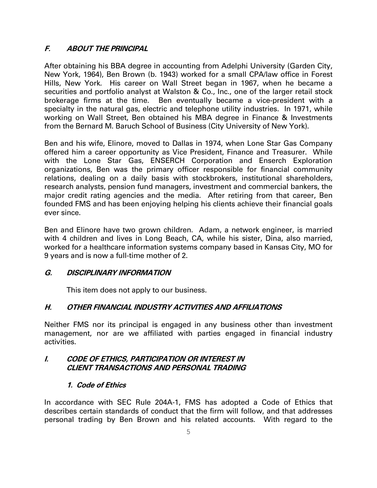## **F. ABOUT THE PRINCIPAL**

After obtaining his BBA degree in accounting from Adelphi University (Garden City, New York, 1964), Ben Brown (b. 1943) worked for a small CPA/law office in Forest Hills, New York. His career on Wall Street began in 1967, when he became a securities and portfolio analyst at Walston & Co., Inc., one of the larger retail stock brokerage firms at the time. Ben eventually became a vice-president with a specialty in the natural gas, electric and telephone utility industries. In 1971, while working on Wall Street, Ben obtained his MBA degree in Finance & Investments from the Bernard M. Baruch School of Business (City University of New York).

Ben and his wife, Elinore, moved to Dallas in 1974, when Lone Star Gas Company offered him a career opportunity as Vice President, Finance and Treasurer. While with the Lone Star Gas, ENSERCH Corporation and Enserch Exploration organizations, Ben was the primary officer responsible for financial community relations, dealing on a daily basis with stockbrokers, institutional shareholders, research analysts, pension fund managers, investment and commercial bankers, the major credit rating agencies and the media. After retiring from that career, Ben founded FMS and has been enjoying helping his clients achieve their financial goals ever since.

Ben and Elinore have two grown children. Adam, a network engineer, is married with 4 children and lives in Long Beach, CA, while his sister, Dina, also married, worked for a healthcare information systems company based in Kansas City, MO for 9 years and is now a full-time mother of 2.

## **G. DISCIPLINARY INFORMATION**

This item does not apply to our business.

## **H. OTHER FINANCIAL INDUSTRY ACTIVITIES AND AFFILIATIONS**

Neither FMS nor its principal is engaged in any business other than investment management, nor are we affiliated with parties engaged in financial industry activities.

#### **I. CODE OF ETHICS, PARTICIPATION OR INTEREST IN CLIENT TRANSACTIONS AND PERSONAL TRADING**

#### **1. Code of Ethics**

In accordance with SEC Rule 204A-1, FMS has adopted a Code of Ethics that describes certain standards of conduct that the firm will follow, and that addresses personal trading by Ben Brown and his related accounts. With regard to the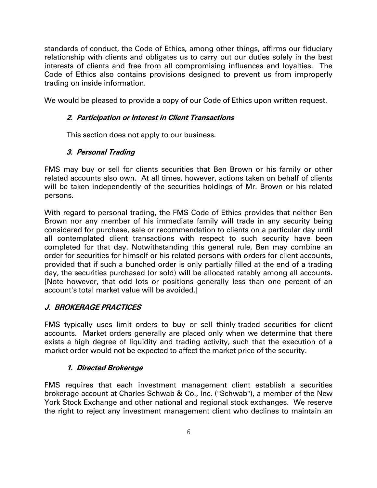standards of conduct, the Code of Ethics, among other things, affirms our fiduciary relationship with clients and obligates us to carry out our duties solely in the best interests of clients and free from all compromising influences and loyalties. The Code of Ethics also contains provisions designed to prevent us from improperly trading on inside information.

We would be pleased to provide a copy of our Code of Ethics upon written request.

#### **2. Participation or Interest in Client Transactions**

This section does not apply to our business.

## **3. Personal Trading**

FMS may buy or sell for clients securities that Ben Brown or his family or other related accounts also own. At all times, however, actions taken on behalf of clients will be taken independently of the securities holdings of Mr. Brown or his related persons.

With regard to personal trading, the FMS Code of Ethics provides that neither Ben Brown nor any member of his immediate family will trade in any security being considered for purchase, sale or recommendation to clients on a particular day until all contemplated client transactions with respect to such security have been completed for that day. Notwithstanding this general rule, Ben may combine an order for securities for himself or his related persons with orders for client accounts, provided that if such a bunched order is only partially filled at the end of a trading day, the securities purchased (or sold) will be allocated ratably among all accounts. [Note however, that odd lots or positions generally less than one percent of an account's total market value will be avoided.]

## **J. BROKERAGE PRACTICES**

FMS typically uses limit orders to buy or sell thinly-traded securities for client accounts. Market orders generally are placed only when we determine that there exists a high degree of liquidity and trading activity, such that the execution of a market order would not be expected to affect the market price of the security.

#### **1. Directed Brokerage**

FMS requires that each investment management client establish a securities brokerage account at Charles Schwab & Co., Inc. ("Schwab"), a member of the New York Stock Exchange and other national and regional stock exchanges. We reserve the right to reject any investment management client who declines to maintain an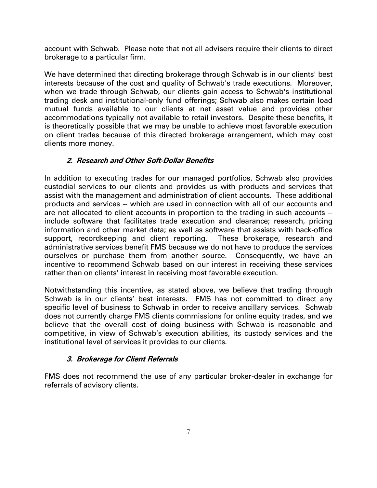account with Schwab. Please note that not all advisers require their clients to direct brokerage to a particular firm.

We have determined that directing brokerage through Schwab is in our clients' best interests because of the cost and quality of Schwab's trade executions. Moreover, when we trade through Schwab, our clients gain access to Schwab's institutional trading desk and institutional-only fund offerings; Schwab also makes certain load mutual funds available to our clients at net asset value and provides other accommodations typically not available to retail investors. Despite these benefits, it is theoretically possible that we may be unable to achieve most favorable execution on client trades because of this directed brokerage arrangement, which may cost clients more money.

#### **2. Research and Other Soft-Dollar Benefits**

In addition to executing trades for our managed portfolios, Schwab also provides custodial services to our clients and provides us with products and services that assist with the management and administration of client accounts. These additional products and services -- which are used in connection with all of our accounts and are not allocated to client accounts in proportion to the trading in such accounts - include software that facilitates trade execution and clearance; research, pricing information and other market data; as well as software that assists with back-office support, recordkeeping and client reporting. These brokerage, research and administrative services benefit FMS because we do not have to produce the services ourselves or purchase them from another source. Consequently, we have an incentive to recommend Schwab based on our interest in receiving these services rather than on clients' interest in receiving most favorable execution.

Notwithstanding this incentive, as stated above, we believe that trading through Schwab is in our clients' best interests. FMS has not committed to direct any specific level of business to Schwab in order to receive ancillary services. Schwab does not currently charge FMS clients commissions for online equity trades, and we believe that the overall cost of doing business with Schwab is reasonable and competitive, in view of Schwab's execution abilities, its custody services and the institutional level of services it provides to our clients.

## **3. Brokerage for Client Referrals**

FMS does not recommend the use of any particular broker-dealer in exchange for referrals of advisory clients.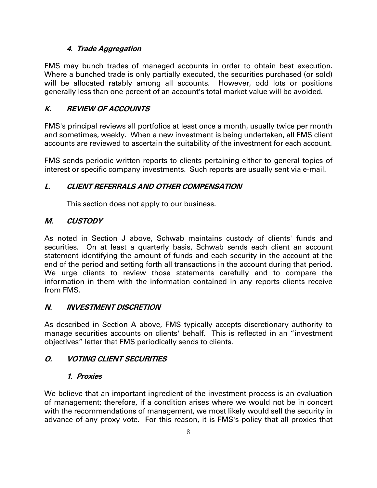#### **4. Trade Aggregation**

FMS may bunch trades of managed accounts in order to obtain best execution. Where a bunched trade is only partially executed, the securities purchased (or sold) will be allocated ratably among all accounts. However, odd lots or positions generally less than one percent of an account's total market value will be avoided.

## **K. REVIEW OF ACCOUNTS**

FMS's principal reviews all portfolios at least once a month, usually twice per month and sometimes, weekly. When a new investment is being undertaken, all FMS client accounts are reviewed to ascertain the suitability of the investment for each account.

FMS sends periodic written reports to clients pertaining either to general topics of interest or specific company investments. Such reports are usually sent via e-mail.

## **L. CLIENT REFERRALS AND OTHER COMPENSATION**

This section does not apply to our business.

## **M. CUSTODY**

As noted in Section J above, Schwab maintains custody of clients' funds and securities. On at least a quarterly basis, Schwab sends each client an account statement identifying the amount of funds and each security in the account at the end of the period and setting forth all transactions in the account during that period. We urge clients to review those statements carefully and to compare the information in them with the information contained in any reports clients receive from FMS.

## **N. INVESTMENT DISCRETION**

As described in Section A above, FMS typically accepts discretionary authority to manage securities accounts on clients' behalf. This is reflected in an "investment objectives" letter that FMS periodically sends to clients.

## **O. VOTING CLIENT SECURITIES**

## **1. Proxies**

We believe that an important ingredient of the investment process is an evaluation of management; therefore, if a condition arises where we would not be in concert with the recommendations of management, we most likely would sell the security in advance of any proxy vote. For this reason, it is FMS's policy that all proxies that